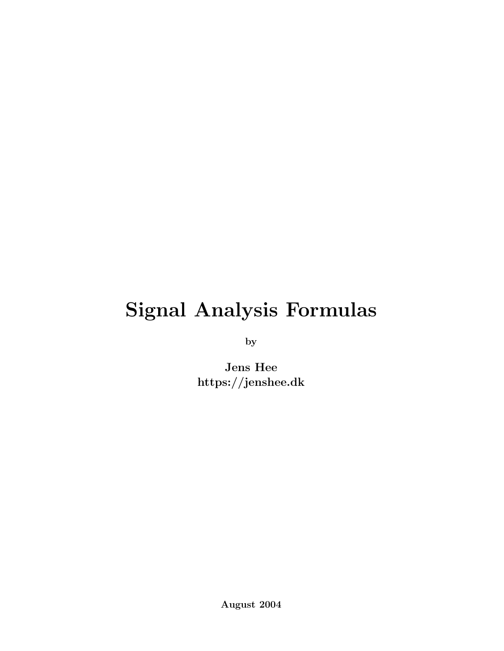# Signal Analysis Formulas

by

Jens Hee https://jenshee.dk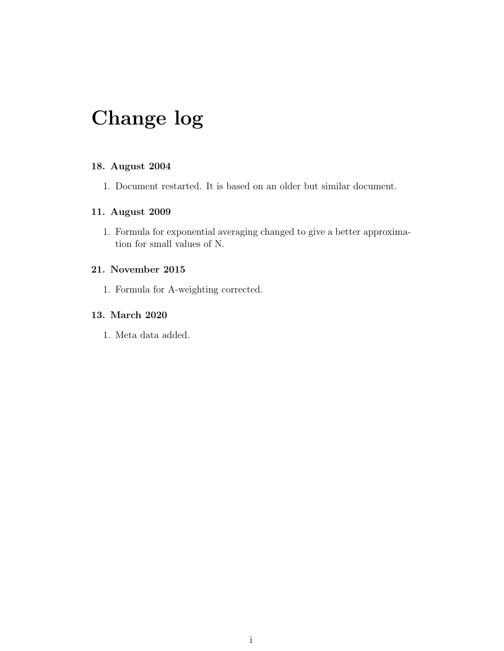# Change log

#### 18. August 2004

1. Document restarted. It is based on an older but similar document.

#### 11. August 2009

1. Formula for exponential averaging changed to give a better approximation for small values of N.

#### 21. November 2015

1. Formula for A-weighting corrected.

#### 13. March 2020

1. Meta data added.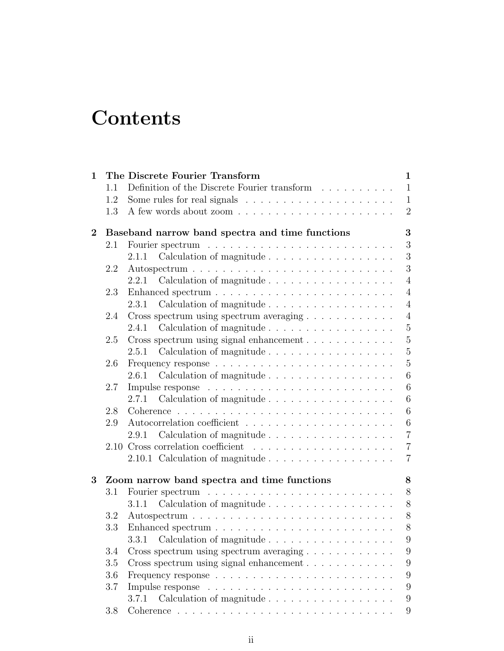# **Contents**

| $\mathbf 1$ |     | The Discrete Fourier Transform                                           | $\mathbf{1}$    |
|-------------|-----|--------------------------------------------------------------------------|-----------------|
|             | 1.1 | Definition of the Discrete Fourier transform $\quad .\ .\ .\ .\ .\ .\ .$ | $\mathbf{1}$    |
|             | 1.2 | Some rules for real signals $\ldots \ldots \ldots \ldots \ldots \ldots$  | $\mathbf{1}$    |
|             | 1.3 |                                                                          | $\overline{2}$  |
| $\bf{2}$    |     | Baseband narrow band spectra and time functions                          | 3               |
|             | 2.1 |                                                                          | $\sqrt{3}$      |
|             |     | 2.1.1                                                                    | 3               |
|             | 2.2 |                                                                          | 3               |
|             |     | Calculation of magnitude<br>2.2.1                                        | $\overline{4}$  |
|             | 2.3 |                                                                          | $\overline{4}$  |
|             |     |                                                                          | $\overline{4}$  |
|             | 2.4 |                                                                          | $\overline{4}$  |
|             |     |                                                                          | $\overline{5}$  |
|             | 2.5 | Cross spectrum using signal enhancement                                  | $\overline{5}$  |
|             |     | Calculation of magnitude<br>2.5.1                                        | $\overline{5}$  |
|             | 2.6 |                                                                          | $\overline{5}$  |
|             |     | 2.6.1<br>Calculation of magnitude                                        | $6\phantom{.}6$ |
|             | 2.7 |                                                                          | $6\phantom{.}6$ |
|             |     | 2.7.1                                                                    | $6\phantom{.}6$ |
|             | 2.8 |                                                                          | $6\phantom{.}6$ |
|             | 2.9 |                                                                          | $\,6$           |
|             |     | 2.9.1                                                                    | $\overline{7}$  |
|             |     |                                                                          | $\overline{7}$  |
|             |     | 2.10.1 Calculation of magnitude                                          | $\overline{7}$  |
| 3           |     | Zoom narrow band spectra and time functions                              | 8               |
|             | 3.1 |                                                                          | 8               |
|             |     | 3.1.1                                                                    | $8\,$           |
|             | 3.2 |                                                                          | $8\,$           |
|             | 3.3 |                                                                          | 8               |
|             |     |                                                                          | Q               |
|             | 3.4 |                                                                          | 9               |
|             | 3.5 |                                                                          | 9               |
|             | 3.6 | Cross spectrum using signal enhancement                                  | 9               |
|             | 3.7 |                                                                          | 9               |
|             |     | 3.7.1                                                                    | 9               |
|             |     | Calculation of magnitude                                                 |                 |
|             | 3.8 |                                                                          | 9               |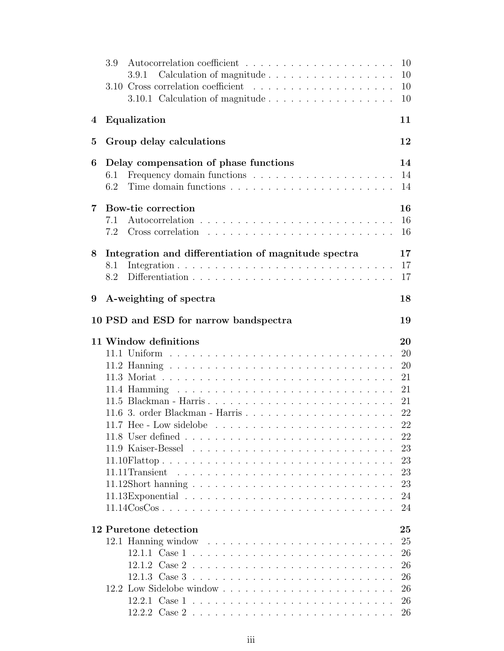|                | 3.9                                                                                            | 10       |
|----------------|------------------------------------------------------------------------------------------------|----------|
|                | Calculation of magnitude<br>3.9.1                                                              | 10       |
|                |                                                                                                | 10       |
|                | 3.10.1 Calculation of magnitude                                                                | 10       |
| 4              | Equalization                                                                                   | 11       |
| $\bf{5}$       | Group delay calculations                                                                       | 12       |
| 6              | Delay compensation of phase functions                                                          | 14       |
|                | 6.1                                                                                            | 14       |
|                | 6.2                                                                                            | 14       |
| $7\phantom{.}$ | Bow-tie correction                                                                             | 16       |
|                | 7.1                                                                                            | 16       |
|                | 7.2                                                                                            | 16       |
|                |                                                                                                |          |
| 8              | Integration and differentiation of magnitude spectra                                           | 17       |
|                | 8.1                                                                                            | 17       |
|                | 8.2                                                                                            | 17       |
| 9              | A-weighting of spectra                                                                         | 18       |
|                | 10 PSD and ESD for narrow bandspectra                                                          | 19       |
|                |                                                                                                |          |
|                | 11 Window definitions                                                                          | 20       |
|                |                                                                                                | 20       |
|                |                                                                                                | 20<br>21 |
|                |                                                                                                |          |
|                |                                                                                                | 21<br>21 |
|                |                                                                                                | 22       |
|                |                                                                                                | 22       |
|                |                                                                                                | 22       |
|                |                                                                                                | 23       |
|                |                                                                                                | 23       |
|                |                                                                                                | 23       |
|                |                                                                                                | 23       |
|                |                                                                                                | 24       |
|                | $11.14 \text{CosCos}. \dots \dots \dots \dots \dots \dots \dots \dots \dots \dots \dots \dots$ | 24       |
|                |                                                                                                |          |
|                | 12 Puretone detection                                                                          | 25<br>25 |
|                |                                                                                                |          |
|                |                                                                                                | 26<br>26 |
|                |                                                                                                | 26       |
|                |                                                                                                | 26       |
|                |                                                                                                | 26       |
|                |                                                                                                | 26       |
|                |                                                                                                |          |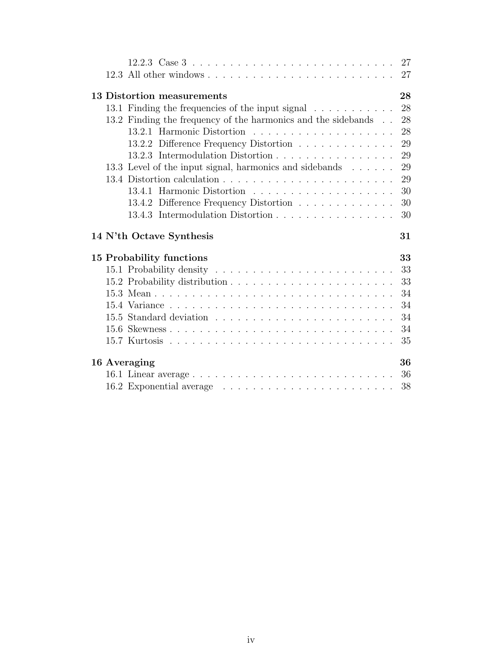| 12.2.3 Case $3 \ldots \ldots \ldots \ldots \ldots \ldots \ldots \ldots \ldots \ldots$ | 27       |
|---------------------------------------------------------------------------------------|----------|
|                                                                                       | 27       |
| 13 Distortion measurements                                                            | 28       |
| 13.1 Finding the frequencies of the input signal                                      | 28       |
| 13.2 Finding the frequency of the harmonics and the sidebands                         | 28       |
|                                                                                       | 28       |
| 13.2.2 Difference Frequency Distortion                                                | 29       |
| 13.2.3 Intermodulation Distortion                                                     | 29       |
| 13.3 Level of the input signal, harmonics and sidebands                               | 29       |
|                                                                                       | 29       |
|                                                                                       | 30       |
| 13.4.2 Difference Frequency Distortion                                                | 30       |
| 13.4.3 Intermodulation Distortion                                                     | 30       |
|                                                                                       |          |
| 14 N'th Octave Synthesis                                                              | 31       |
|                                                                                       | 33       |
| 15 Probability functions                                                              | 33       |
|                                                                                       | 33       |
|                                                                                       | 34       |
|                                                                                       | 34       |
|                                                                                       |          |
|                                                                                       | 34<br>34 |
|                                                                                       | 35       |
|                                                                                       | 36       |
| 16 Averaging                                                                          | 36       |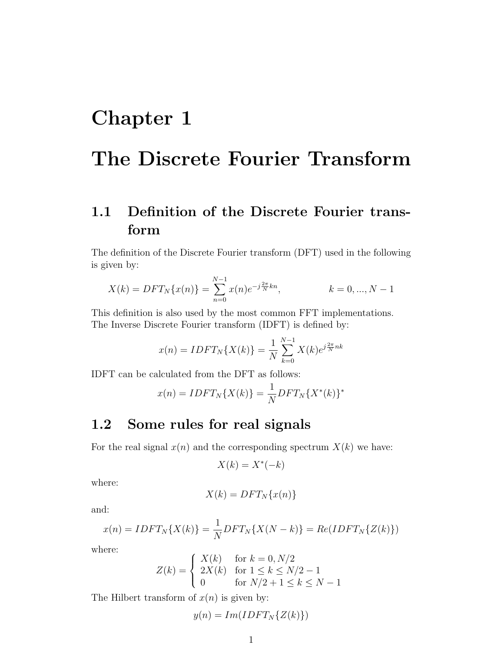# <span id="page-5-0"></span>Chapter 1

# The Discrete Fourier Transform

## <span id="page-5-1"></span>1.1 Definition of the Discrete Fourier transform

The definition of the Discrete Fourier transform (DFT) used in the following is given by:

$$
X(k) = DFT_N\{x(n)\} = \sum_{n=0}^{N-1} x(n)e^{-j\frac{2\pi}{N}kn}, \qquad k = 0, ..., N-1
$$

This definition is also used by the most common FFT implementations. The Inverse Discrete Fourier transform (IDFT) is defined by:

$$
x(n) = IDFT_N\{X(k)\} = \frac{1}{N} \sum_{k=0}^{N-1} X(k)e^{j\frac{2\pi}{N}nk}
$$

IDFT can be calculated from the DFT as follows:

$$
x(n) = IDFT_N\{X(k)\} = \frac{1}{N}DFT_N\{X^*(k)\}^*
$$

### <span id="page-5-2"></span>1.2 Some rules for real signals

For the real signal  $x(n)$  and the corresponding spectrum  $X(k)$  we have:

$$
X(k) = X^*(-k)
$$

where:

$$
X(k) = DFT_N\{x(n)\}\
$$

and:

$$
x(n) = IDFT_N\{X(k)\} = \frac{1}{N}DFT_N\{X(N-k)\} = Re(IDFT_N\{Z(k)\})
$$

where:

$$
Z(k) = \begin{cases} X(k) & \text{for } k = 0, N/2\\ 2X(k) & \text{for } 1 \le k \le N/2 - 1\\ 0 & \text{for } N/2 + 1 \le k \le N - 1 \end{cases}
$$

The Hilbert transform of  $x(n)$  is given by:

$$
y(n) = Im(IDFT_N\{Z(k)\})
$$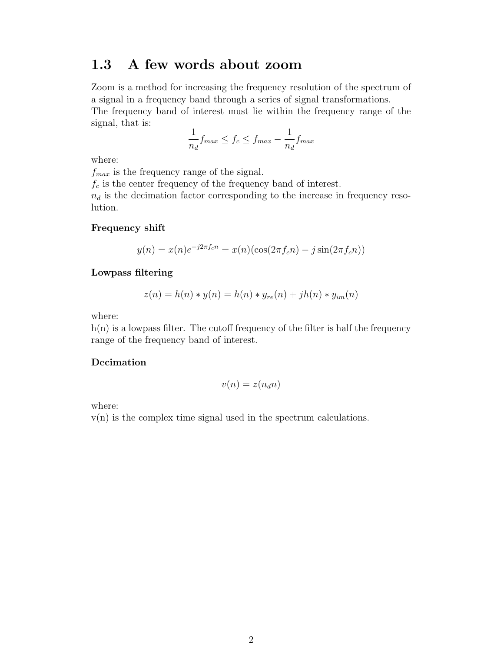### <span id="page-6-0"></span>1.3 A few words about zoom

Zoom is a method for increasing the frequency resolution of the spectrum of a signal in a frequency band through a series of signal transformations. The frequency band of interest must lie within the frequency range of the signal, that is:

$$
\frac{1}{n_d} f_{max} \le f_c \le f_{max} - \frac{1}{n_d} f_{max}
$$

where:

 $f_{max}$  is the frequency range of the signal.

 $f_c$  is the center frequency of the frequency band of interest.

 $n_d$  is the decimation factor corresponding to the increase in frequency resolution.

#### Frequency shift

$$
y(n) = x(n)e^{-j2\pi f_c n} = x(n)(\cos(2\pi f_c n) - j\sin(2\pi f_c n))
$$

#### Lowpass filtering

$$
z(n) = h(n) * y(n) = h(n) * y_{re}(n) + jh(n) * y_{im}(n)
$$

where:

 $h(n)$  is a lowpass filter. The cutoff frequency of the filter is half the frequency range of the frequency band of interest.

#### Decimation

$$
v(n) = z(n_d n)
$$

where:

 $v(n)$  is the complex time signal used in the spectrum calculations.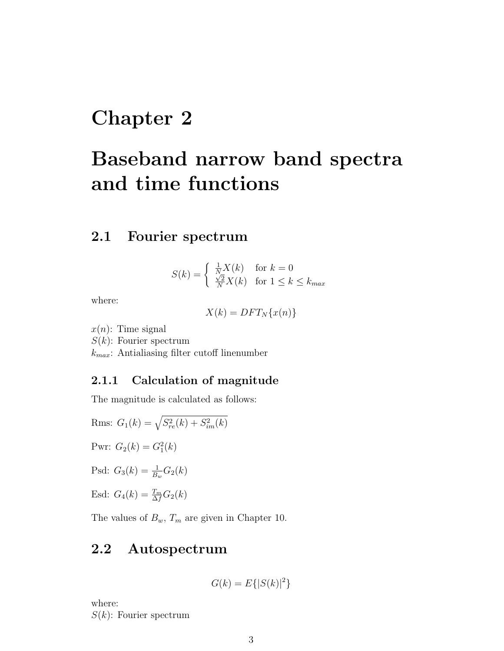# <span id="page-7-0"></span>Chapter 2

# Baseband narrow band spectra and time functions

### <span id="page-7-1"></span>2.1 Fourier spectrum

$$
S(k) = \begin{cases} \frac{1}{N}X(k) & \text{for } k = 0\\ \frac{\sqrt{2}}{N}X(k) & \text{for } 1 \le k \le k_{max} \end{cases}
$$

where:

$$
X(k) = DFT_N\{x(n)\}
$$

 $x(n)$ : Time signal

 $S(k)$ : Fourier spectrum

 $k_{max}$ : Antialiasing filter cutoff linenumber

#### <span id="page-7-2"></span>2.1.1 Calculation of magnitude

The magnitude is calculated as follows:

Rms:  $G_1(k) = \sqrt{S_{re}^2(k) + S_{im}^2(k)}$ Pwr:  $G_2(k) = G_1^2(k)$ Psd:  $G_3(k) = \frac{1}{B_w} G_2(k)$ Esd:  $G_4(k) = \frac{T_m}{\Delta f} G_2(k)$ 

The values of  $B_w$ ,  $T_m$  are given in Chapter 10.

### <span id="page-7-3"></span>2.2 Autospectrum

$$
G(k) = E\{|S(k)|^2\}
$$

where:  $S(k)$ : Fourier spectrum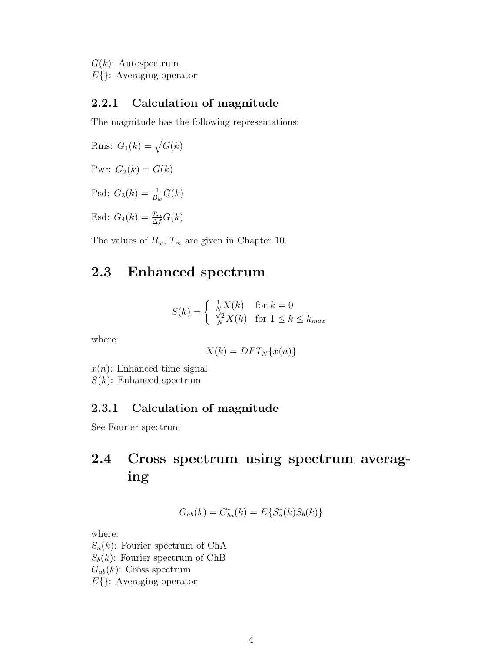$G(k)$ : Autospectrum E{}: Averaging operator

### <span id="page-8-0"></span>2.2.1 Calculation of magnitude

The magnitude has the following representations:

Rms:  $G_1(k) = \sqrt{G(k)}$ Pwr:  $G_2(k) = G(k)$ Psd:  $G_3(k) = \frac{1}{B_w}G(k)$ Esd:  $G_4(k) = \frac{T_m}{\Delta f} G(k)$ 

The values of  $B_w$ ,  $T_m$  are given in Chapter 10.

### <span id="page-8-1"></span>2.3 Enhanced spectrum

$$
S(k) = \begin{cases} \frac{1}{N}X(k) & \text{for } k = 0\\ \frac{\sqrt{2}}{N}X(k) & \text{for } 1 \le k \le k_{max} \end{cases}
$$

where:

$$
X(k) = DFT_N\{x(n)\}
$$

 $x(n)$ : Enhanced time signal  $S(k)$ : Enhanced spectrum

### <span id="page-8-2"></span>2.3.1 Calculation of magnitude

See Fourier spectrum

# <span id="page-8-3"></span>2.4 Cross spectrum using spectrum averaging

$$
G_{ab}(k) = G_{ba}^*(k) = E\{S_a^*(k)S_b(k)\}
$$

where:

 $S_a(k)$ : Fourier spectrum of ChA  $S_b(k)$ : Fourier spectrum of ChB  $G_{ab}(k)$ : Cross spectrum E{}: Averaging operator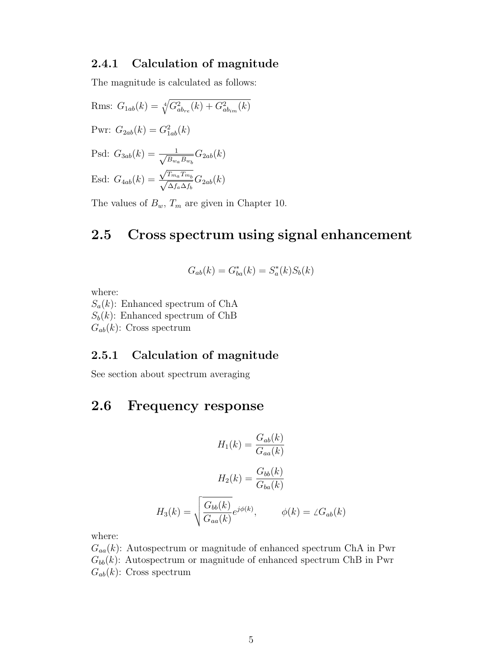#### <span id="page-9-0"></span>2.4.1 Calculation of magnitude

The magnitude is calculated as follows:

Rms:  $G_{1ab}(k) = \sqrt[4]{G_{ab_{re}}^2(k) + G_{ab_{im}}^2(k)}$ Pwr:  $G_{2ab}(k) = G_{1ab}^2(k)$ Psd:  $G_{3ab}(k) = \frac{1}{\sqrt{R}}$  $\frac{1}{B_{w_a}B_{w_b}}G_{2ab}(k)$ Esd:  $G_{4ab}(k) = \frac{\sqrt{T_{m_a}T_{m_b}}}{\sqrt{2\pi r_a}r_b}$  $\mathbf{v}_{\alpha}$  $\frac{A_{ma} + m_b}{\Delta f_a \Delta f_b} G_{2ab}(k)$ 

The values of  $B_w$ ,  $T_m$  are given in Chapter 10.

### <span id="page-9-1"></span>2.5 Cross spectrum using signal enhancement

$$
G_{ab}(k) = G_{ba}^*(k) = S_a^*(k)S_b(k)
$$

where:

 $S_a(k)$ : Enhanced spectrum of ChA  $S_b(k)$ : Enhanced spectrum of ChB  $G_{ab}(k)$ : Cross spectrum

### <span id="page-9-2"></span>2.5.1 Calculation of magnitude

See section about spectrum averaging

### <span id="page-9-3"></span>2.6 Frequency response

$$
H_1(k) = \frac{G_{ab}(k)}{G_{aa}(k)}
$$

$$
H_2(k) = \frac{G_{bb}(k)}{G_{ba}(k)}
$$

$$
H_3(k) = \sqrt{\frac{G_{bb}(k)}{G_{aa}(k)}}e^{j\phi(k)}, \qquad \phi(k) = \angle G_{ab}(k)
$$

where:

 $G_{aa}(k)$ : Autospectrum or magnitude of enhanced spectrum ChA in Pwr  $G_{bb}(k)$ : Autospectrum or magnitude of enhanced spectrum ChB in Pwr  $G_{ab}(k)$ : Cross spectrum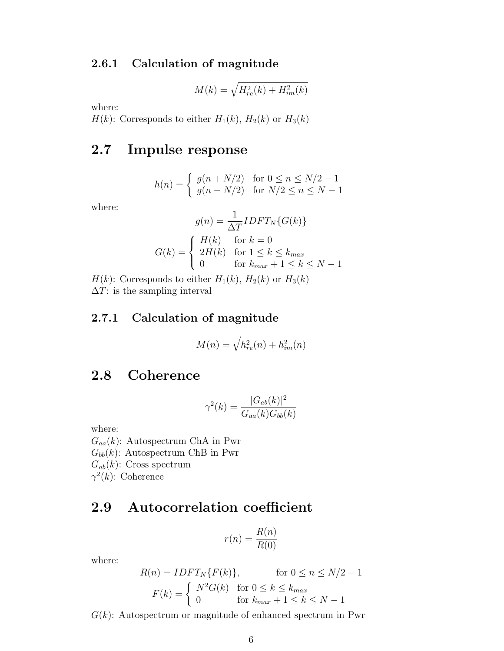#### <span id="page-10-0"></span>2.6.1 Calculation of magnitude

$$
M(k) = \sqrt{H_{re}^2(k) + H_{im}^2(k)}
$$

where:

 $H(k)$ : Corresponds to either  $H_1(k)$ ,  $H_2(k)$  or  $H_3(k)$ 

### <span id="page-10-1"></span>2.7 Impulse response

$$
h(n) = \begin{cases} g(n + N/2) & \text{for } 0 \le n \le N/2 - 1 \\ g(n - N/2) & \text{for } N/2 \le n \le N - 1 \end{cases}
$$

where:

$$
g(n) = \frac{1}{\Delta T} IDFT_N \{G(k)\}
$$

$$
G(k) = \begin{cases} H(k) & \text{for } k = 0\\ 2H(k) & \text{for } 1 \le k \le k_{max} \\ 0 & \text{for } k_{max} + 1 \le k \le N - 1 \end{cases}
$$

 $H(k)$ : Corresponds to either  $H_1(k)$ ,  $H_2(k)$  or  $H_3(k)$  $\Delta T$ : is the sampling interval

### <span id="page-10-2"></span>2.7.1 Calculation of magnitude

$$
M(n) = \sqrt{h_{re}^2(n) + h_{im}^2(n)}
$$

### <span id="page-10-3"></span>2.8 Coherence

$$
\gamma^2(k) = \frac{|G_{ab}(k)|^2}{G_{aa}(k)G_{bb}(k)}
$$

where:

 $G_{aa}(k)$ : Autospectrum ChA in Pwr  $G_{bb}(k)$ : Autospectrum ChB in Pwr  $G_{ab}(k)$ : Cross spectrum  $\gamma^2(k)$ : Coherence

### <span id="page-10-4"></span>2.9 Autocorrelation coefficient

$$
r(n) = \frac{R(n)}{R(0)}
$$

where:

$$
R(n) = IDFT_N\{F(k)\}, \quad \text{for } 0 \le n \le N/2 - 1
$$

$$
F(k) = \begin{cases} N^2 G(k) & \text{for } 0 \le k \le k_{max} \\ 0 & \text{for } k_{max} + 1 \le k \le N - 1 \end{cases}
$$

 $G(k)$ : Autospectrum or magnitude of enhanced spectrum in Pwr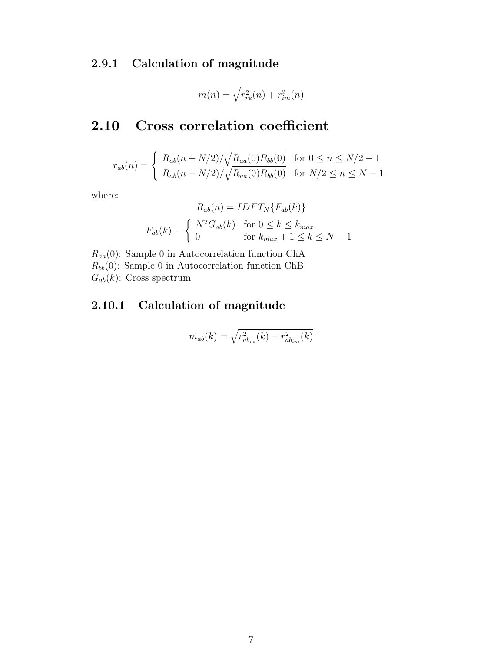### <span id="page-11-0"></span>2.9.1 Calculation of magnitude

$$
m(n) = \sqrt{r_{re}^2(n) + r_{im}^2(n)}
$$

### <span id="page-11-1"></span>2.10 Cross correlation coefficient

$$
r_{ab}(n) = \begin{cases} R_{ab}(n + N/2) / \sqrt{R_{aa}(0)R_{bb}(0)} & \text{for } 0 \le n \le N/2 - 1\\ R_{ab}(n - N/2) / \sqrt{R_{aa}(0)R_{bb}(0)} & \text{for } N/2 \le n \le N - 1 \end{cases}
$$

where:

$$
R_{ab}(n) = IDFT_N\{F_{ab}(k)\}
$$

$$
F_{ab}(k) = \begin{cases} N^2 G_{ab}(k) & \text{for } 0 \le k \le k_{max} \\ 0 & \text{for } k_{max} + 1 \le k \le N - 1 \end{cases}
$$

 $R_{aa}(0)$ : Sample 0 in Autocorrelation function ChA  $R_{bb}(0)$ : Sample 0 in Autocorrelation function ChB  $G_{ab}(k)$ : Cross spectrum

### <span id="page-11-2"></span>2.10.1 Calculation of magnitude

$$
m_{ab}(k) = \sqrt{r_{ab_{re}}^2(k) + r_{ab_{im}}^2(k)}
$$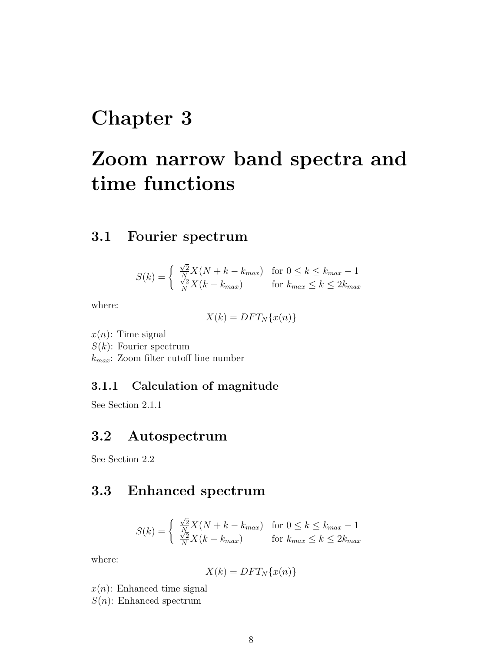# <span id="page-12-0"></span>Chapter 3

# Zoom narrow band spectra and time functions

### <span id="page-12-1"></span>3.1 Fourier spectrum

$$
S(k) = \begin{cases} \frac{\sqrt{2}}{N} X(N + k - k_{max}) & \text{for } 0 \le k \le k_{max} - 1\\ \frac{\sqrt{2}}{N} X(k - k_{max}) & \text{for } k_{max} \le k \le 2k_{max} \end{cases}
$$

where:

$$
X(k) = DFT_N\{x(n)\}\
$$

 $x(n)$ : Time signal  $S(k)$ : Fourier spectrum

 $k_{max}$ : Zoom filter cutoff line number

### <span id="page-12-2"></span>3.1.1 Calculation of magnitude

See Section 2.1.1

### <span id="page-12-3"></span>3.2 Autospectrum

See Section 2.2

### <span id="page-12-4"></span>3.3 Enhanced spectrum

$$
S(k) = \begin{cases} \frac{\sqrt{2}}{N} X(N + k - k_{max}) & \text{for } 0 \le k \le k_{max} - 1\\ \frac{\sqrt{2}}{N} X(k - k_{max}) & \text{for } k_{max} \le k \le 2k_{max} \end{cases}
$$

where:

$$
X(k) = DFT_N\{x(n)\}
$$

 $x(n)$ : Enhanced time signal

 $S(n)$ : Enhanced spectrum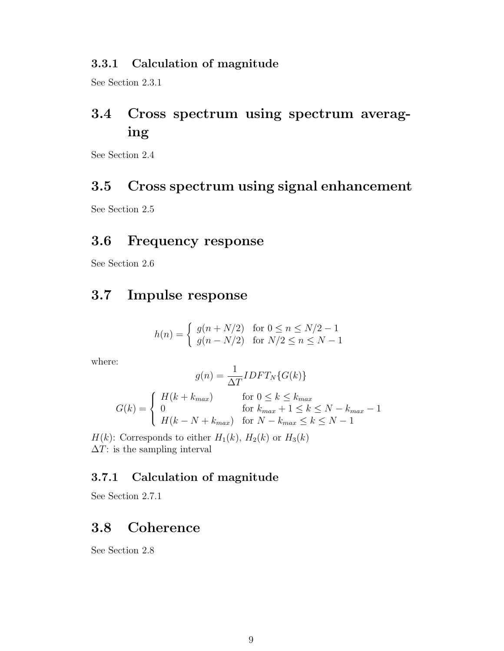#### <span id="page-13-0"></span>3.3.1 Calculation of magnitude

See Section 2.3.1

## <span id="page-13-1"></span>3.4 Cross spectrum using spectrum averaging

See Section 2.4

### <span id="page-13-2"></span>3.5 Cross spectrum using signal enhancement

See Section 2.5

### <span id="page-13-3"></span>3.6 Frequency response

See Section 2.6

### <span id="page-13-4"></span>3.7 Impulse response

$$
h(n) = \begin{cases} g(n + N/2) & \text{for } 0 \le n \le N/2 - 1 \\ g(n - N/2) & \text{for } N/2 \le n \le N - 1 \end{cases}
$$

where:

$$
g(n) = \frac{1}{\Delta T} IDFT_N\{G(k)\}
$$

$$
G(k) = \begin{cases} H(k + k_{max}) & \text{for } 0 \le k \le k_{max} \\ 0 & \text{for } k_{max} + 1 \le k \le N - k_{max} - 1 \\ H(k - N + k_{max}) & \text{for } N - k_{max} \le k \le N - 1 \end{cases}
$$

 $H(k)$ : Corresponds to either  $H_1(k)$ ,  $H_2(k)$  or  $H_3(k)$  $\Delta T$ : is the sampling interval

### <span id="page-13-5"></span>3.7.1 Calculation of magnitude

See Section 2.7.1

### <span id="page-13-6"></span>3.8 Coherence

See Section 2.8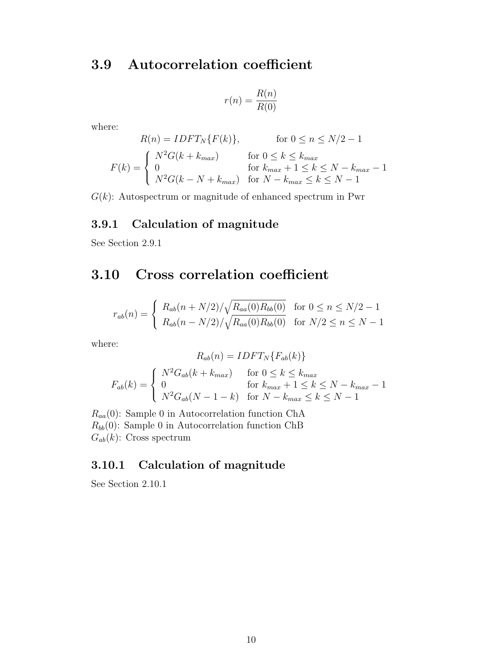### <span id="page-14-0"></span>3.9 Autocorrelation coefficient

$$
r(n) = \frac{R(n)}{R(0)}
$$

where:

$$
R(n) = IDFT_N\{F(k)\}, \qquad \text{for } 0 \le n \le N/2 - 1
$$

$$
F(k) = \begin{cases} N^2G(k + k_{max}) & \text{for } 0 \le k \le k_{max} \\ 0 & \text{for } k_{max} + 1 \le k \le N - k_{max} - 1 \\ N^2G(k - N + k_{max}) & \text{for } N - k_{max} \le k \le N - 1 \end{cases}
$$

 $G(k)$ : Autospectrum or magnitude of enhanced spectrum in Pwr

### <span id="page-14-1"></span>3.9.1 Calculation of magnitude

See Section 2.9.1

## <span id="page-14-2"></span>3.10 Cross correlation coefficient

$$
r_{ab}(n) = \begin{cases} R_{ab}(n + N/2) / \sqrt{R_{aa}(0)R_{bb}(0)} & \text{for } 0 \le n \le N/2 - 1\\ R_{ab}(n - N/2) / \sqrt{R_{aa}(0)R_{bb}(0)} & \text{for } N/2 \le n \le N - 1 \end{cases}
$$

where:

$$
R_{ab}(n) = IDFT_N\{F_{ab}(k)\}
$$

$$
F_{ab}(k) = \begin{cases} N^2 G_{ab}(k + k_{max}) & \text{for } 0 \le k \le k_{max} \\ 0 & \text{for } k_{max} + 1 \le k \le N - k_{max} - 1 \\ N^2 G_{ab}(N - 1 - k) & \text{for } N - k_{max} \le k \le N - 1 \end{cases}
$$

 $R_{aa}(0)$ : Sample 0 in Autocorrelation function ChA  $R_{bb}(0)$ : Sample 0 in Autocorrelation function ChB  $G_{ab}(k)$ : Cross spectrum

### <span id="page-14-3"></span>3.10.1 Calculation of magnitude

See Section 2.10.1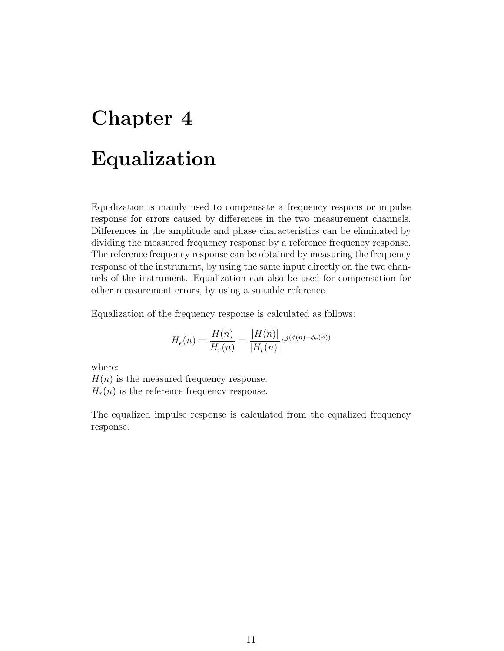# <span id="page-15-0"></span>Chapter 4 Equalization

Equalization is mainly used to compensate a frequency respons or impulse response for errors caused by differences in the two measurement channels. Differences in the amplitude and phase characteristics can be eliminated by dividing the measured frequency response by a reference frequency response. The reference frequency response can be obtained by measuring the frequency response of the instrument, by using the same input directly on the two channels of the instrument. Equalization can also be used for compensation for other measurement errors, by using a suitable reference.

Equalization of the frequency response is calculated as follows:

$$
H_e(n) = \frac{H(n)}{H_r(n)} = \frac{|H(n)|}{|H_r(n)|} e^{j(\phi(n) - \phi_r(n))}
$$

where:

 $H(n)$  is the measured frequency response.  $H_r(n)$  is the reference frequency response.

The equalized impulse response is calculated from the equalized frequency response.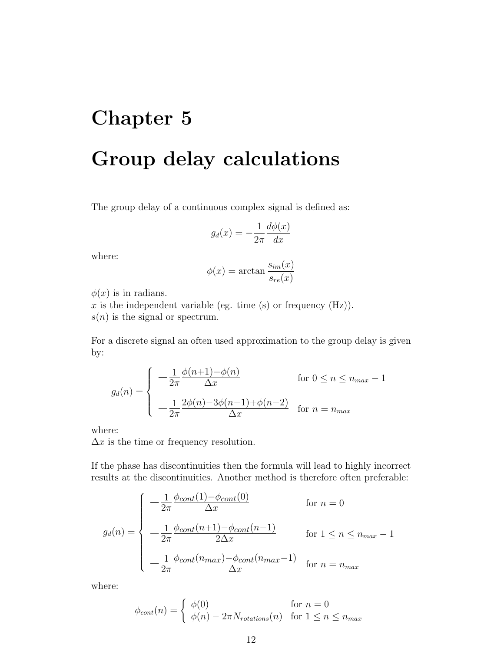# <span id="page-16-0"></span>Chapter 5 Group delay calculations

The group delay of a continuous complex signal is defined as:

$$
g_d(x) = -\frac{1}{2\pi} \frac{d\phi(x)}{dx}
$$

where:

$$
\phi(x) = \arctan \frac{s_{im}(x)}{s_{re}(x)}
$$

 $\phi(x)$  is in radians.

 $x$  is the independent variable (eg. time (s) or frequency (Hz)).  $s(n)$  is the signal or spectrum.

For a discrete signal an often used approximation to the group delay is given by:

$$
g_d(n) = \begin{cases} -\frac{1}{2\pi} \frac{\phi(n+1) - \phi(n)}{\Delta x} & \text{for } 0 \le n \le n_{max} - 1 \\ -\frac{1}{2\pi} \frac{2\phi(n) - 3\phi(n-1) + \phi(n-2)}{\Delta x} & \text{for } n = n_{max} \end{cases}
$$

where:

 $\Delta x$  is the time or frequency resolution.

If the phase has discontinuities then the formula will lead to highly incorrect results at the discontinuities. Another method is therefore often preferable:

$$
g_d(n) = \begin{cases}\n-\frac{1}{2\pi} \frac{\phi_{cont}(1) - \phi_{cont}(0)}{\Delta x} & \text{for } n = 0 \\
-\frac{1}{2\pi} \frac{\phi_{cont}(n+1) - \phi_{cont}(n-1)}{2\Delta x} & \text{for } 1 \le n \le n_{max} - 1 \\
-\frac{1}{2\pi} \frac{\phi_{cont}(n_{max}) - \phi_{cont}(n_{max} - 1)}{\Delta x} & \text{for } n = n_{max}\n\end{cases}
$$

where:

$$
\phi_{cont}(n) = \begin{cases} \phi(0) & \text{for } n = 0\\ \phi(n) - 2\pi N_{rotations}(n) & \text{for } 1 \le n \le n_{max} \end{cases}
$$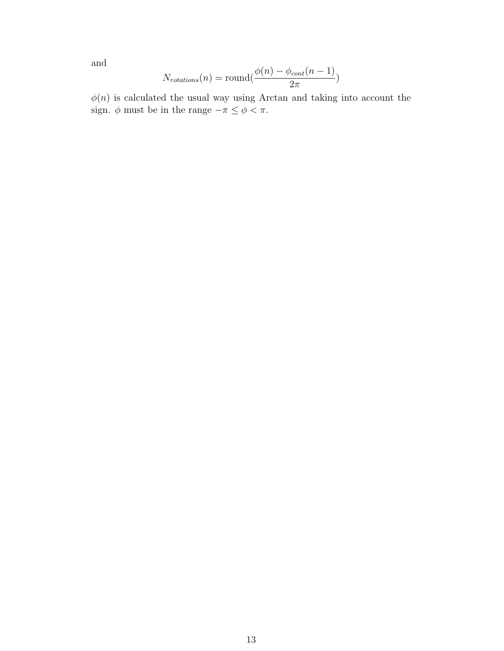and

$$
N_{rotations}(n) = \text{round}(\frac{\phi(n) - \phi_{cont}(n-1)}{2\pi})
$$

 $\phi(n)$  is calculated the usual way using Arctan and taking into account the sign.  $\phi$  must be in the range  $-\pi \leq \phi < \pi$ .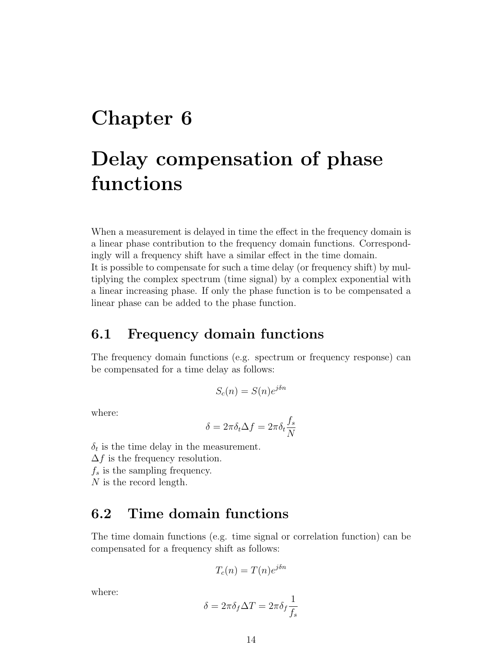# <span id="page-18-0"></span>Chapter 6

# Delay compensation of phase functions

When a measurement is delayed in time the effect in the frequency domain is a linear phase contribution to the frequency domain functions. Correspondingly will a frequency shift have a similar effect in the time domain. It is possible to compensate for such a time delay (or frequency shift) by multiplying the complex spectrum (time signal) by a complex exponential with a linear increasing phase. If only the phase function is to be compensated a linear phase can be added to the phase function.

### <span id="page-18-1"></span>6.1 Frequency domain functions

The frequency domain functions (e.g. spectrum or frequency response) can be compensated for a time delay as follows:

$$
S_c(n) = S(n)e^{j\delta n}
$$

where:

$$
\delta = 2\pi \delta_t \Delta f = 2\pi \delta_t \frac{f_s}{N}
$$

 $\delta_t$  is the time delay in the measurement.  $\Delta f$  is the frequency resolution.  $f_s$  is the sampling frequency.

N is the record length.

### <span id="page-18-2"></span>6.2 Time domain functions

The time domain functions (e.g. time signal or correlation function) can be compensated for a frequency shift as follows:

$$
T_c(n) = T(n)e^{j\delta n}
$$

where:

$$
\delta=2\pi\delta_f\Delta T=2\pi\delta_f\frac{1}{f_s}
$$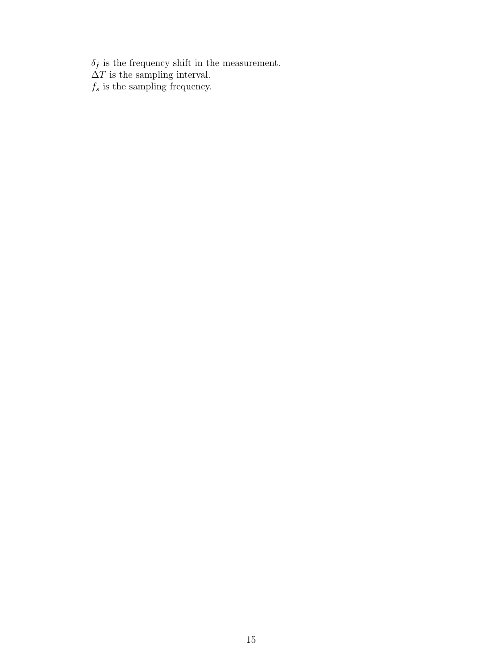$\delta_f$  is the frequency shift in the measurement.  $\Delta T$  is the sampling interval.  $f_s$  is the sampling frequency.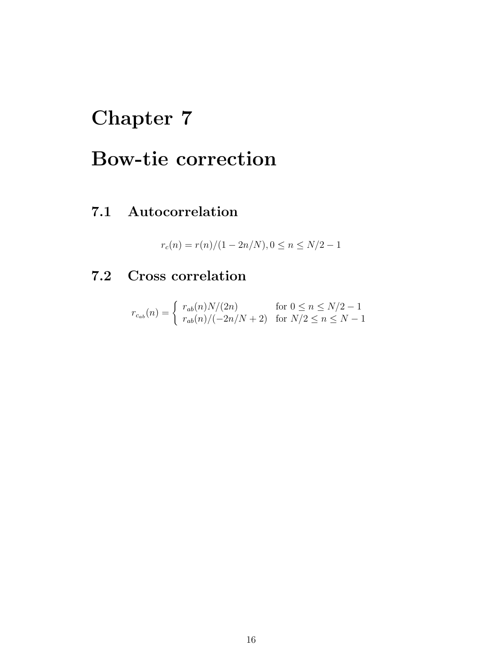# <span id="page-20-0"></span>Chapter 7

# Bow-tie correction

## <span id="page-20-1"></span>7.1 Autocorrelation

$$
r_c(n) = \frac{r(n)}{(1 - 2n/N)}, 0 \le n \le N/2 - 1
$$

# <span id="page-20-2"></span>7.2 Cross correlation

$$
r_{c_{ab}}(n) = \begin{cases} r_{ab}(n)N/(2n) & \text{for } 0 \le n \le N/2 - 1\\ r_{ab}(n)/(-2n/N + 2) & \text{for } N/2 \le n \le N - 1 \end{cases}
$$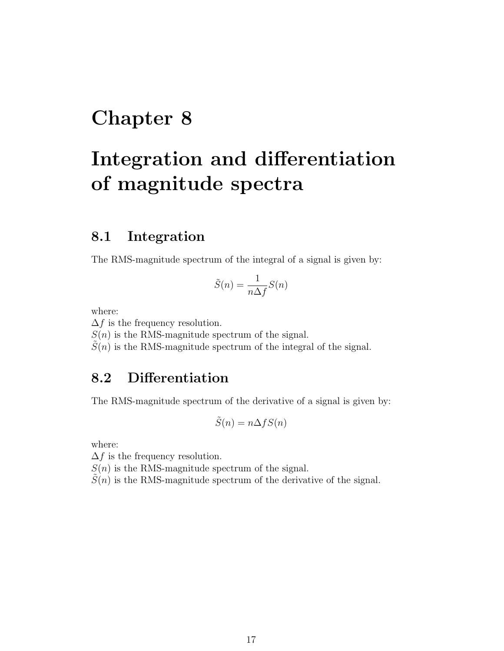# <span id="page-21-0"></span>Chapter 8

# Integration and differentiation of magnitude spectra

### <span id="page-21-1"></span>8.1 Integration

The RMS-magnitude spectrum of the integral of a signal is given by:

$$
\tilde{S}(n) = \frac{1}{n\Delta f}S(n)
$$

where:

 $\Delta f$  is the frequency resolution.

 $S(n)$  is the RMS-magnitude spectrum of the signal.

 $\tilde{S}(n)$  is the RMS-magnitude spectrum of the integral of the signal.

### <span id="page-21-2"></span>8.2 Differentiation

The RMS-magnitude spectrum of the derivative of a signal is given by:

$$
\tilde{S}(n) = n\Delta f S(n)
$$

where:

 $\Delta f$  is the frequency resolution.

 $S(n)$  is the RMS-magnitude spectrum of the signal.

 $S(n)$  is the RMS-magnitude spectrum of the derivative of the signal.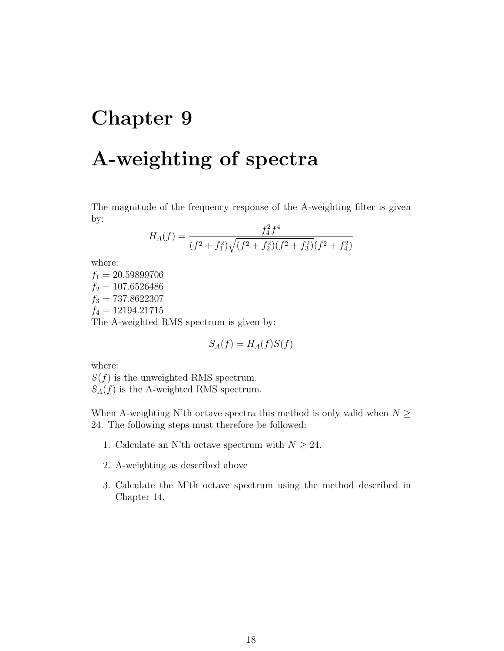# <span id="page-22-0"></span>Chapter 9 A-weighting of spectra

The magnitude of the frequency response of the A-weighting filter is given by:

$$
H_A(f) = \frac{f_4^2 f^4}{(f^2 + f_1^2)\sqrt{(f^2 + f_2^2)(f^2 + f_3^2)}(f^2 + f_4^2)}
$$

where:

 $f_1 = 20.59899706$  $f_2 = 107.6526486$  $f_3 = 737.8622307$  $f_4 = 12194.21715$ The A-weighted RMS spectrum is given by:

$$
S_A(f) = H_A(f)S(f)
$$

where:

 $S(f)$  is the unweighted RMS spectrum.  $S_A(f)$  is the A-weighted RMS spectrum.

When A-weighting N'th octave spectra this method is only valid when  $N \geq$ 24. The following steps must therefore be followed:

- 1. Calculate an N'th octave spectrum with  $N \geq 24$ .
- 2. A-weighting as described above
- 3. Calculate the M'th octave spectrum using the method described in Chapter 14.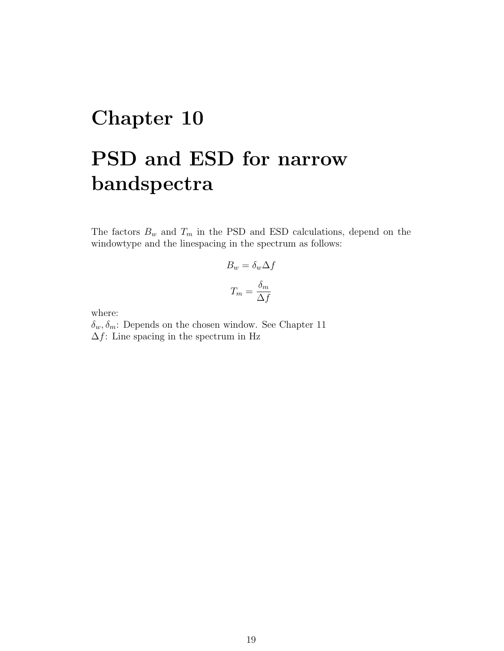# <span id="page-23-0"></span>Chapter 10 PSD and ESD for narrow bandspectra

The factors  $B_w$  and  $T_m$  in the PSD and ESD calculations, depend on the windowtype and the linespacing in the spectrum as follows:

$$
B_w = \delta_w \Delta f
$$

$$
T_m = \frac{\delta_m}{\Delta f}
$$

where:

 $\delta_w, \delta_m$ : Depends on the chosen window. See Chapter 11  $\Delta f$ : Line spacing in the spectrum in Hz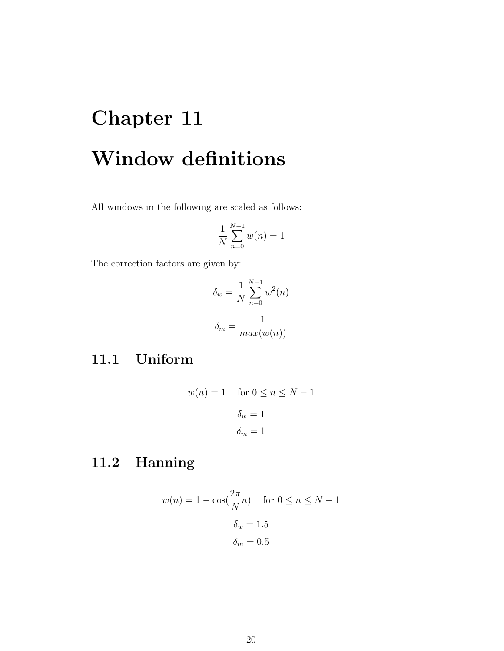# <span id="page-24-0"></span>Chapter 11 Window definitions

All windows in the following are scaled as follows:

$$
\frac{1}{N} \sum_{n=0}^{N-1} w(n) = 1
$$

The correction factors are given by:

$$
\delta_w = \frac{1}{N} \sum_{n=0}^{N-1} w^2(n)
$$

$$
\delta_m = \frac{1}{max(w(n))}
$$

### <span id="page-24-1"></span>11.1 Uniform

$$
w(n) = 1 \quad \text{ for } 0 \le n \le N - 1
$$

$$
\delta_w = 1
$$

$$
\delta_m = 1
$$

## <span id="page-24-2"></span>11.2 Hanning

$$
w(n) = 1 - \cos(\frac{2\pi}{N}n) \quad \text{for } 0 \le n \le N - 1
$$

$$
\delta_w = 1.5
$$

$$
\delta_m = 0.5
$$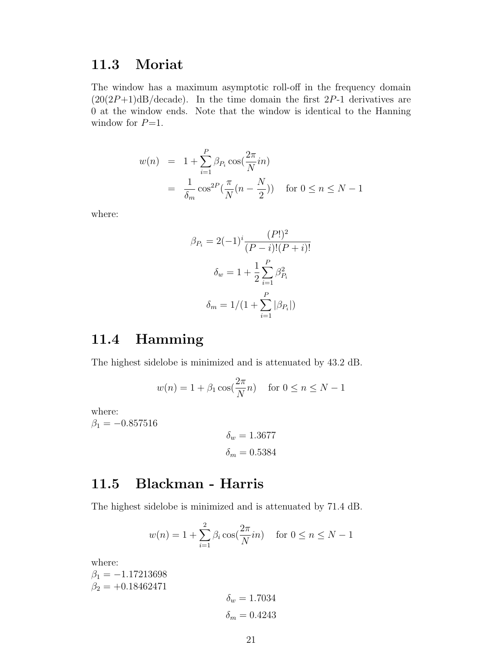### <span id="page-25-0"></span>11.3 Moriat

The window has a maximum asymptotic roll-off in the frequency domain  $(20(2P+1)dB/decade)$ . In the time domain the first 2P-1 derivatives are 0 at the window ends. Note that the window is identical to the Hanning window for  $P=1$ .

$$
w(n) = 1 + \sum_{i=1}^{P} \beta_{P_i} \cos(\frac{2\pi}{N}in)
$$
  
= 
$$
\frac{1}{\delta_m} \cos^{2P}(\frac{\pi}{N}(n - \frac{N}{2})) \text{ for } 0 \le n \le N - 1
$$

where:

$$
\beta_{P_i} = 2(-1)^i \frac{(P!)^2}{(P-i)!(P+i)!}
$$

$$
\delta_w = 1 + \frac{1}{2} \sum_{i=1}^P \beta_{P_i}^2
$$

$$
\delta_m = 1/(1 + \sum_{i=1}^P |\beta_{P_i}|)
$$

### <span id="page-25-1"></span>11.4 Hamming

The highest sidelobe is minimized and is attenuated by 43.2 dB.

$$
w(n) = 1 + \beta_1 \cos(\frac{2\pi}{N}n) \quad \text{for } 0 \le n \le N - 1
$$

where:  $\beta_1 = -0.857516$ 

$$
\delta_w = 1.3677
$$

$$
\delta_m = 0.5384
$$

### <span id="page-25-2"></span>11.5 Blackman - Harris

The highest sidelobe is minimized and is attenuated by 71.4 dB.

$$
w(n) = 1 + \sum_{i=1}^{2} \beta_i \cos(\frac{2\pi}{N}in)
$$
 for  $0 \le n \le N - 1$ 

where:  $\beta_1 = -1.17213698$  $\beta_2 = +0.18462471$  $\delta_w = 1.7034$  $\delta_m = 0.4243$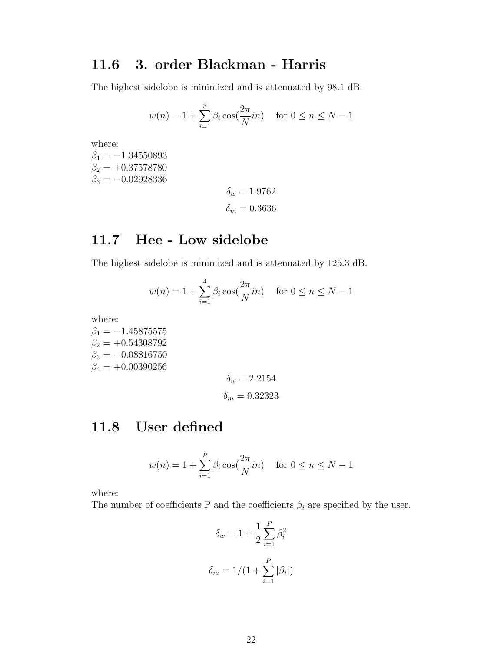### <span id="page-26-0"></span>11.6 3. order Blackman - Harris

The highest sidelobe is minimized and is attenuated by 98.1 dB.

$$
w(n) = 1 + \sum_{i=1}^{3} \beta_i \cos(\frac{2\pi}{N}in)
$$
 for  $0 \le n \le N - 1$ 

where:

 $\beta_1 = -1.34550893$  $\beta_2 = +0.37578780$  $\beta_3 = -0.02928336$ 

 $\delta_w = 1.9762$  $\delta_m=0.3636$ 

### <span id="page-26-1"></span>11.7 Hee - Low sidelobe

The highest sidelobe is minimized and is attenuated by 125.3 dB.

$$
w(n) = 1 + \sum_{i=1}^{4} \beta_i \cos(\frac{2\pi}{N}in)
$$
 for  $0 \le n \le N - 1$ 

where:

 $\beta_1 = -1.45875575$  $\beta_2 = +0.54308792$  $\beta_3 = -0.08816750$  $\beta_4 = +0.00390256$ 

$$
\delta_w = 2.2154
$$

$$
\delta_m = 0.32323
$$

### <span id="page-26-2"></span>11.8 User defined

$$
w(n) = 1 + \sum_{i=1}^{P} \beta_i \cos(\frac{2\pi}{N}in)
$$
 for  $0 \le n \le N - 1$ 

where:

The number of coefficients P and the coefficients  $\beta_i$  are specified by the user.

$$
\delta_w = 1 + \frac{1}{2} \sum_{i=1}^{P} \beta_i^2
$$

$$
\delta_m = 1/(1 + \sum_{i=1}^{P} |\beta_i|)
$$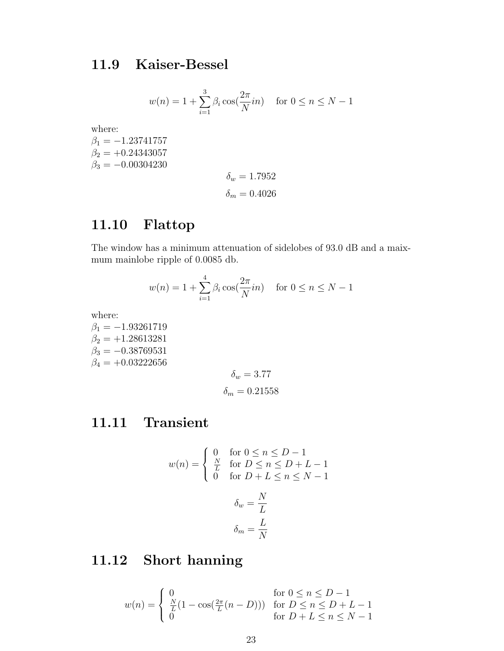### <span id="page-27-0"></span>11.9 Kaiser-Bessel

$$
w(n) = 1 + \sum_{i=1}^{3} \beta_i \cos(\frac{2\pi}{N}in)
$$
 for  $0 \le n \le N - 1$ 

where:

 $\beta_1 = -1.23741757$  $\beta_2 = +0.24343057$  $\beta_3 = -0.00304230$ 

$$
\delta_w = 1.7952
$$

$$
\delta_m = 0.4026
$$

## <span id="page-27-1"></span>11.10 Flattop

The window has a minimum attenuation of sidelobes of 93.0 dB and a maixmum mainlobe ripple of 0.0085 db.

$$
w(n) = 1 + \sum_{i=1}^{4} \beta_i \cos(\frac{2\pi}{N}in)
$$
 for  $0 \le n \le N - 1$ 

where:

 $\beta_1 = -1.93261719$  $\beta_2 = +1.28613281$  $\beta_3 = -0.38769531$  $\beta_4 = +0.03222656$ 

$$
\delta_w = 3.77
$$

$$
\delta_m = 0.21558
$$

### <span id="page-27-2"></span>11.11 Transient

$$
w(n) = \begin{cases} 0 & \text{for } 0 \le n \le D - 1 \\ \frac{N}{L} & \text{for } D \le n \le D + L - 1 \\ 0 & \text{for } D + L \le n \le N - 1 \end{cases}
$$

$$
\delta_w = \frac{N}{L}
$$

$$
\delta_m = \frac{L}{N}
$$

## <span id="page-27-3"></span>11.12 Short hanning

$$
w(n) = \begin{cases} 0 & \text{for } 0 \le n \le D - 1 \\ \frac{N}{L} (1 - \cos(\frac{2\pi}{L}(n - D))) & \text{for } D \le n \le D + L - 1 \\ 0 & \text{for } D + L \le n \le N - 1 \end{cases}
$$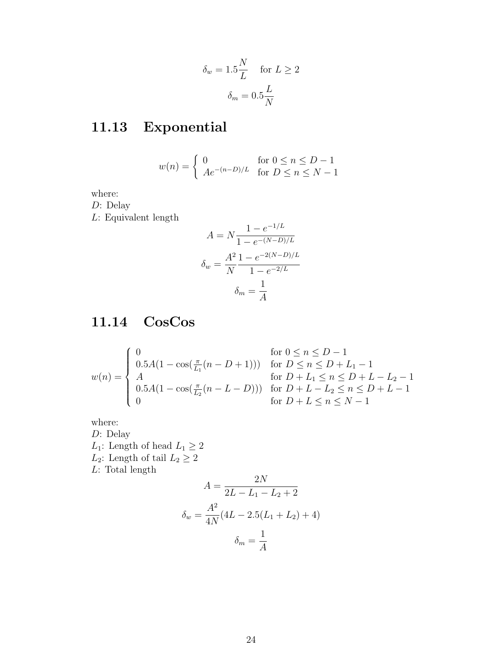$$
\delta_w = 1.5 \frac{N}{L} \quad \text{for } L \ge 2
$$

$$
\delta_m = 0.5 \frac{L}{N}
$$

# <span id="page-28-0"></span>11.13 Exponential

$$
w(n) = \begin{cases} 0 & \text{for } 0 \le n \le D - 1 \\ Ae^{-(n-D)/L} & \text{for } D \le n \le N - 1 \end{cases}
$$

where:

D: Delay

 $L:$  Equivalent length

$$
A = N \frac{1 - e^{-1/L}}{1 - e^{-(N-D)/L}}
$$

$$
\delta_w = \frac{A^2}{N} \frac{1 - e^{-2(N-D)/L}}{1 - e^{-2/L}}
$$

$$
\delta_m = \frac{1}{A}
$$

## <span id="page-28-1"></span>11.14 CosCos

$$
w(n) = \begin{cases} 0 & \text{for } 0 \le n \le D - 1 \\ 0.5A(1 - \cos(\frac{\pi}{L_1}(n - D + 1))) & \text{for } D \le n \le D + L_1 - 1 \\ A & \text{for } D + L_1 \le n \le D + L - L_2 - 1 \\ 0.5A(1 - \cos(\frac{\pi}{L_2}(n - L - D))) & \text{for } D + L - L_2 \le n \le D + L - 1 \\ 0 & \text{for } D + L \le n \le N - 1 \end{cases}
$$

where: D: Delay  $L_1\colon$  Length of head  $L_1\geq 2$  $L_2\colon$  Length of tail  $L_2\geq 2$  $L:$  Total length

$$
A = \frac{2N}{2L - L_1 - L_2 + 2}
$$

$$
\delta_w = \frac{A^2}{4N}(4L - 2.5(L_1 + L_2) + 4)
$$

$$
\delta_m = \frac{1}{A}
$$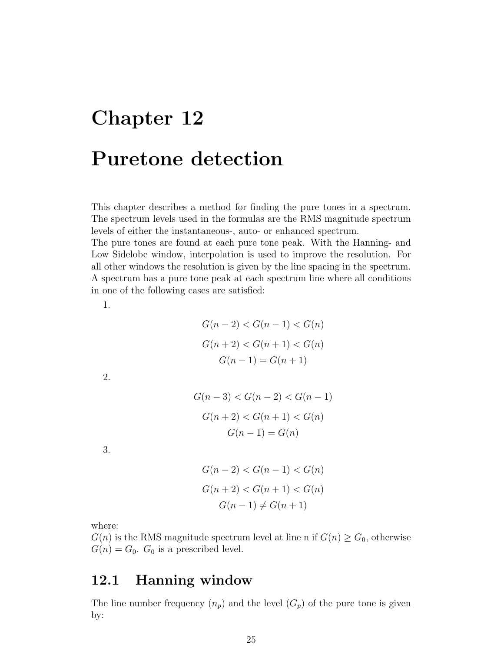# <span id="page-29-0"></span>Chapter 12 Puretone detection

This chapter describes a method for finding the pure tones in a spectrum. The spectrum levels used in the formulas are the RMS magnitude spectrum levels of either the instantaneous-, auto- or enhanced spectrum.

The pure tones are found at each pure tone peak. With the Hanning- and Low Sidelobe window, interpolation is used to improve the resolution. For all other windows the resolution is given by the line spacing in the spectrum. A spectrum has a pure tone peak at each spectrum line where all conditions in one of the following cases are satisfied:

1.

$$
G(n-2) < G(n-1) < G(n)
$$
\n
$$
G(n+2) < G(n+1) < G(n)
$$
\n
$$
G(n-1) = G(n+1)
$$

2.

$$
G(n-3) < G(n-2) < G(n-1)
$$
\n
$$
G(n+2) < G(n+1) < G(n)
$$
\n
$$
G(n-1) = G(n)
$$

3.

$$
G(n - 2) < G(n - 1) < G(n)
$$
\n
$$
G(n + 2) < G(n + 1) < G(n)
$$
\n
$$
G(n - 1) \neq G(n + 1)
$$

where:

 $G(n)$  is the RMS magnitude spectrum level at line n if  $G(n) \geq G_0$ , otherwise  $G(n) = G_0$ .  $G_0$  is a prescribed level.

### <span id="page-29-1"></span>12.1 Hanning window

The line number frequency  $(n_p)$  and the level  $(G_p)$  of the pure tone is given by: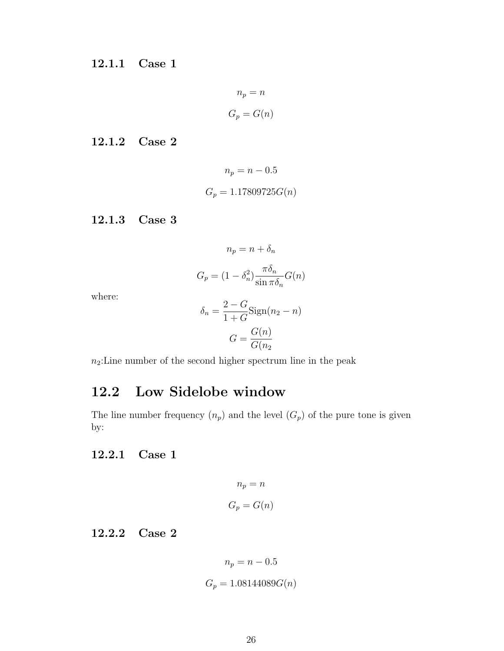<span id="page-30-0"></span>12.1.1 Case 1

$$
n_p = n
$$

$$
G_p = G(n)
$$

<span id="page-30-1"></span>12.1.2 Case 2

$$
n_p = n - 0.5
$$

$$
G_p = 1.17809725G(n)
$$

<span id="page-30-2"></span>12.1.3 Case 3

$$
n_p = n + \delta_n
$$

$$
G_p = (1 - \delta_n^2) \frac{\pi \delta_n}{\sin \pi \delta_n} G(n)
$$

where:

$$
\delta_n = \frac{2 - G}{1 + G} \text{Sign}(n_2 - n)
$$

$$
G = \frac{G(n)}{G(n_2)}
$$

 $n_2{:} \mathrm{Line}$  number of the second higher spectrum line in the peak

# <span id="page-30-3"></span>12.2 Low Sidelobe window

The line number frequency  $(n_p)$  and the level  $(G_p)$  of the pure tone is given by:

### <span id="page-30-4"></span>12.2.1 Case 1

$$
n_p = n
$$

$$
G_p = G(n)
$$

<span id="page-30-5"></span>12.2.2 Case 2

$$
n_p = n - 0.5
$$

$$
G_p = 1.08144089G(n)
$$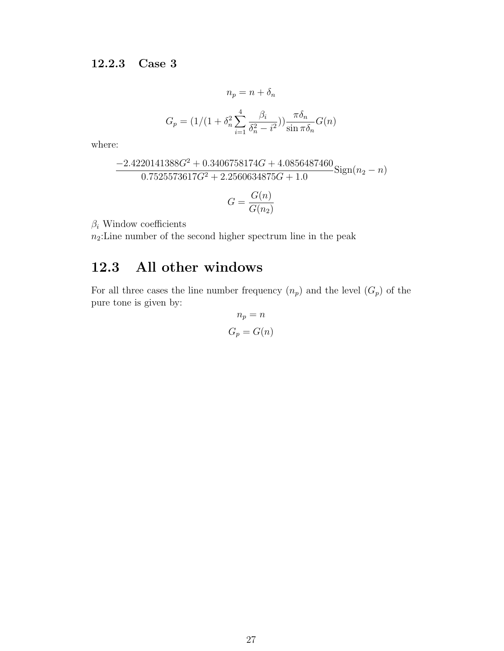<span id="page-31-0"></span>
$$
n_p = n + \delta_n
$$

$$
G_p = \left(1/(1 + \delta_n^2 \sum_{i=1}^4 \frac{\beta_i}{\delta_n^2 - i^2})\right) \frac{\pi \delta_n}{\sin \pi \delta_n} G(n)
$$

where:

$$
\frac{-2.4220141388G^2 + 0.3406758174G + 4.0856487460}{0.7525573617G^2 + 2.2560634875G + 1.0} \text{Sign}(n_2 - n)
$$

$$
G = \frac{G(n)}{G(n_2)}
$$

 $\beta_i$  Window coefficients

 $n_2$ : Line number of the second higher spectrum line in the peak

## <span id="page-31-1"></span>12.3 All other windows

For all three cases the line number frequency  $(n_p)$  and the level  $(G_p)$  of the pure tone is given by:

$$
n_p = n
$$

$$
G_p = G(n)
$$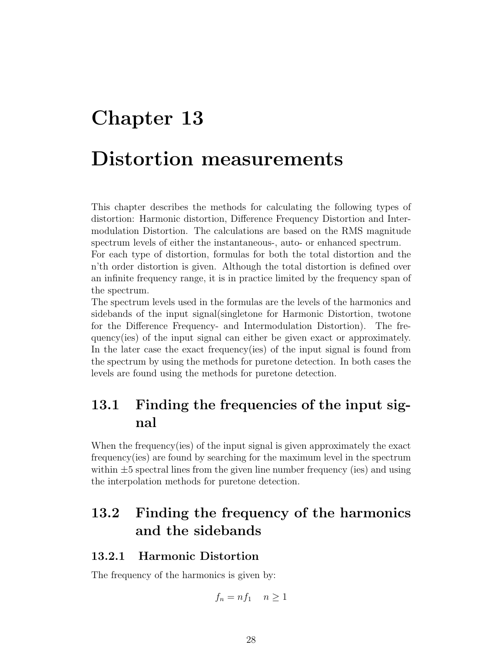# <span id="page-32-0"></span>Chapter 13 Distortion measurements

This chapter describes the methods for calculating the following types of distortion: Harmonic distortion, Difference Frequency Distortion and Intermodulation Distortion. The calculations are based on the RMS magnitude spectrum levels of either the instantaneous-, auto- or enhanced spectrum.

For each type of distortion, formulas for both the total distortion and the n'th order distortion is given. Although the total distortion is defined over an infinite frequency range, it is in practice limited by the frequency span of the spectrum.

The spectrum levels used in the formulas are the levels of the harmonics and sidebands of the input signal(singletone for Harmonic Distortion, twotone for the Difference Frequency- and Intermodulation Distortion). The frequency(ies) of the input signal can either be given exact or approximately. In the later case the exact frequency(ies) of the input signal is found from the spectrum by using the methods for puretone detection. In both cases the levels are found using the methods for puretone detection.

## <span id="page-32-1"></span>13.1 Finding the frequencies of the input signal

When the frequency(ies) of the input signal is given approximately the exact frequency(ies) are found by searching for the maximum level in the spectrum within  $\pm 5$  spectral lines from the given line number frequency (ies) and using the interpolation methods for puretone detection.

# <span id="page-32-2"></span>13.2 Finding the frequency of the harmonics and the sidebands

### <span id="page-32-3"></span>13.2.1 Harmonic Distortion

The frequency of the harmonics is given by:

$$
f_n = n f_1 \quad n \ge 1
$$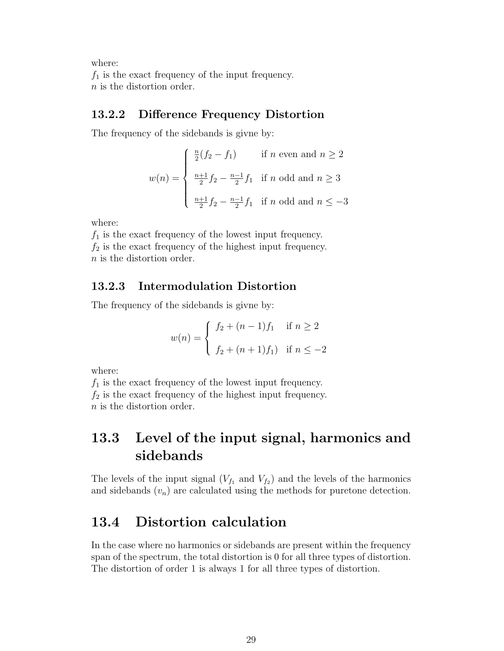where:

 $f_1$  is the exact frequency of the input frequency. n is the distortion order.

### <span id="page-33-0"></span>13.2.2 Difference Frequency Distortion

The frequency of the sidebands is givne by:

$$
w(n) = \begin{cases} \frac{n}{2}(f_2 - f_1) & \text{if } n \text{ even and } n \ge 2\\ \frac{n+1}{2}f_2 - \frac{n-1}{2}f_1 & \text{if } n \text{ odd and } n \ge 3\\ \frac{n+1}{2}f_2 - \frac{n-1}{2}f_1 & \text{if } n \text{ odd and } n \le -3 \end{cases}
$$

where:

 $f_1$  is the exact frequency of the lowest input frequency.  $f_2$  is the exact frequency of the highest input frequency. n is the distortion order.

### <span id="page-33-1"></span>13.2.3 Intermodulation Distortion

The frequency of the sidebands is givne by:

$$
w(n) = \begin{cases} f_2 + (n-1)f_1 & \text{if } n \ge 2 \\ f_2 + (n+1)f_1 & \text{if } n \le -2 \end{cases}
$$

where:

 $f_1$  is the exact frequency of the lowest input frequency.  $f_2$  is the exact frequency of the highest input frequency. n is the distortion order.

## <span id="page-33-2"></span>13.3 Level of the input signal, harmonics and sidebands

The levels of the input signal  $(V_{f_1}$  and  $V_{f_2}$ ) and the levels of the harmonics and sidebands  $(v_n)$  are calculated using the methods for puretone detection.

### <span id="page-33-3"></span>13.4 Distortion calculation

In the case where no harmonics or sidebands are present within the frequency span of the spectrum, the total distortion is 0 for all three types of distortion. The distortion of order 1 is always 1 for all three types of distortion.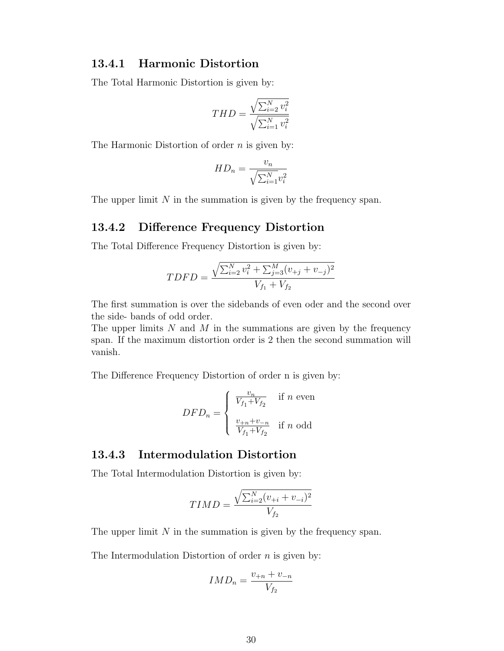#### <span id="page-34-0"></span>13.4.1 Harmonic Distortion

The Total Harmonic Distortion is given by:

$$
THD = \frac{\sqrt{\sum_{i=2}^{N} v_i^2}}{\sqrt{\sum_{i=1}^{N} v_i^2}}
$$

The Harmonic Distortion of order  $n$  is given by:

$$
HD_n = \frac{v_n}{\sqrt{\sum_{i=1}^{N} v_i^2}}
$$

The upper limit  $N$  in the summation is given by the frequency span.

### <span id="page-34-1"></span>13.4.2 Difference Frequency Distortion

The Total Difference Frequency Distortion is given by:

$$
TDFD = \frac{\sqrt{\sum_{i=2}^{N} v_i^2 + \sum_{j=3}^{M} (v_{+j} + v_{-j})^2}}{V_{f_1} + V_{f_2}}
$$

The first summation is over the sidebands of even oder and the second over the side- bands of odd order.

The upper limits  $N$  and  $M$  in the summations are given by the frequency span. If the maximum distortion order is 2 then the second summation will vanish.

The Difference Frequency Distortion of order n is given by:

$$
DFD_n = \left\{ \begin{array}{ll} \frac{v_n}{V_{f_1} + V_{f_2}} & \text{if $n$ even} \\ \\ \frac{v_{+n} + v_{-n}}{V_{f_1} + V_{f_2}} & \text{if $n$ odd} \end{array} \right.
$$

#### <span id="page-34-2"></span>13.4.3 Intermodulation Distortion

The Total Intermodulation Distortion is given by:

$$
TIMD = \frac{\sqrt{\sum_{i=2}^{N} (v_{+i} + v_{-i})^2}}{V_{f_2}}
$$

The upper limit  $N$  in the summation is given by the frequency span.

The Intermodulation Distortion of order  $n$  is given by:

$$
IMD_n = \frac{v_{+n} + v_{-n}}{V_{f_2}}
$$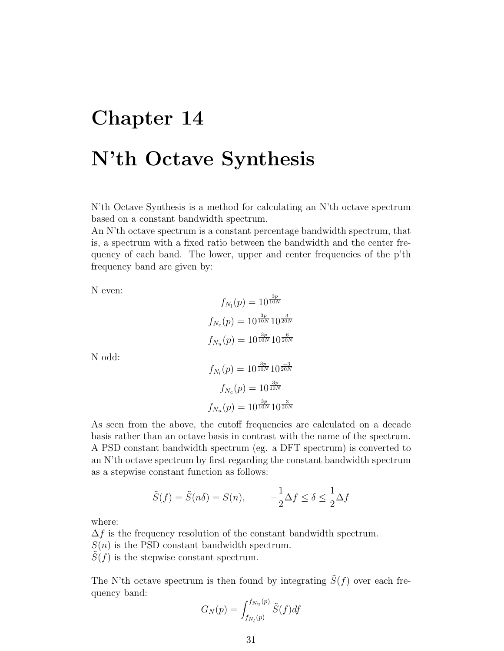# <span id="page-35-0"></span>Chapter 14 N'th Octave Synthesis

N'th Octave Synthesis is a method for calculating an N'th octave spectrum based on a constant bandwidth spectrum.

An N'th octave spectrum is a constant percentage bandwidth spectrum, that is, a spectrum with a fixed ratio between the bandwidth and the center frequency of each band. The lower, upper and center frequencies of the p'th frequency band are given by:

N even:

$$
f_{N_l}(p) = 10^{\frac{3p}{10N}}
$$

$$
f_{N_c}(p) = 10^{\frac{3p}{10N}} 10^{\frac{3}{20N}}
$$

$$
f_{N_u}(p) = 10^{\frac{3p}{10N}} 10^{\frac{6}{20N}}
$$

N odd:

$$
f_{N_l}(p) = 10^{\frac{3p}{10N}} 10^{\frac{-3}{20N}}
$$

$$
f_{N_c}(p) = 10^{\frac{3p}{10N}}
$$

$$
f_{N_u}(p) = 10^{\frac{3p}{10N}} 10^{\frac{3}{20N}}
$$

As seen from the above, the cutoff frequencies are calculated on a decade basis rather than an octave basis in contrast with the name of the spectrum. A PSD constant bandwidth spectrum (eg. a DFT spectrum) is converted to an N'th octave spectrum by first regarding the constant bandwidth spectrum as a stepwise constant function as follows:

$$
\tilde{S}(f) = \tilde{S}(n\delta) = S(n), \qquad -\frac{1}{2}\Delta f \le \delta \le \frac{1}{2}\Delta f
$$

where:

 $\Delta f$  is the frequency resolution of the constant bandwidth spectrum.

 $S(n)$  is the PSD constant bandwidth spectrum.

 $S(f)$  is the stepwise constant spectrum.

The N'th octave spectrum is then found by integrating  $\tilde{S}(f)$  over each frequency band:

$$
G_N(p) = \int_{f_{N_l}(p)}^{f_{N_u}(p)} \tilde{S}(f) df
$$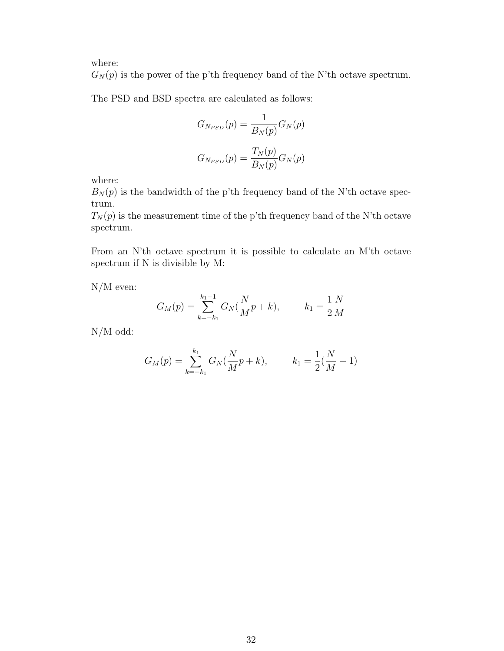where:

 $G_N(p)$  is the power of the p'th frequency band of the N'th octave spectrum.

The PSD and BSD spectra are calculated as follows:

$$
G_{N_{PSD}}(p) = \frac{1}{B_N(p)} G_N(p)
$$

$$
G_{N_{ESD}}(p) = \frac{T_N(p)}{B_N(p)} G_N(p)
$$

where:

 $B_N(p)$  is the bandwidth of the p'th frequency band of the N'th octave spectrum.

 $T_N(p)$  is the measurement time of the p'th frequency band of the N'th octave spectrum.

From an N'th octave spectrum it is possible to calculate an M'th octave spectrum if N is divisible by M:

N/M even:

$$
G_M(p) = \sum_{k=-k_1}^{k_1-1} G_N(\frac{N}{M}p+k), \qquad k_1 = \frac{1}{2}\frac{N}{M}
$$

N/M odd:

$$
G_M(p) = \sum_{k=-k_1}^{k_1} G_N(\frac{N}{M}p+k), \qquad k_1 = \frac{1}{2}(\frac{N}{M}-1)
$$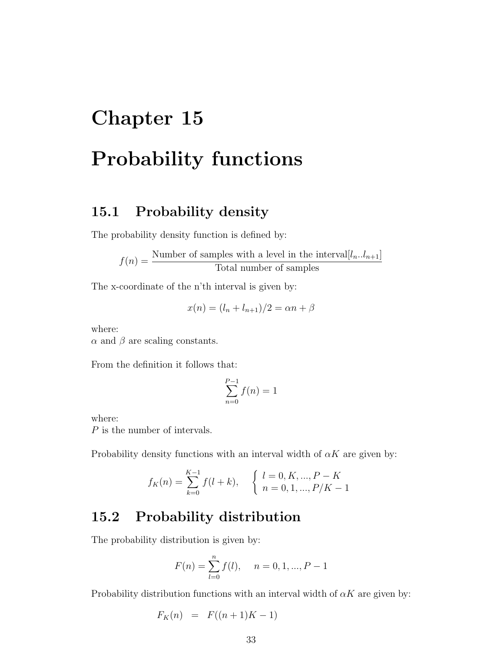# <span id="page-37-0"></span>Chapter 15 Probability functions

### <span id="page-37-1"></span>15.1 Probability density

The probability density function is defined by:

 $f(n) = \frac{\text{Number of samples with a level in the interval}[l_n..l_{n+1}]}{\sum_{n=1}^{n} l_n!}$ Total number of samples

The x-coordinate of the n'th interval is given by:

$$
x(n) = (l_n + l_{n+1})/2 = \alpha n + \beta
$$

where:

 $\alpha$  and  $\beta$  are scaling constants.

From the definition it follows that:

$$
\sum_{n=0}^{P-1} f(n) = 1
$$

where:

P is the number of intervals.

Probability density functions with an interval width of  $\alpha K$  are given by:

$$
f_K(n) = \sum_{k=0}^{K-1} f(l+k), \quad \begin{cases} l = 0, K, ..., P-K \\ n = 0, 1, ..., P/K-1 \end{cases}
$$

### <span id="page-37-2"></span>15.2 Probability distribution

The probability distribution is given by:

$$
F(n) = \sum_{l=0}^{n} f(l), \quad n = 0, 1, ..., P - 1
$$

Probability distribution functions with an interval width of  $\alpha K$  are given by:

$$
F_K(n) = F((n+1)K - 1)
$$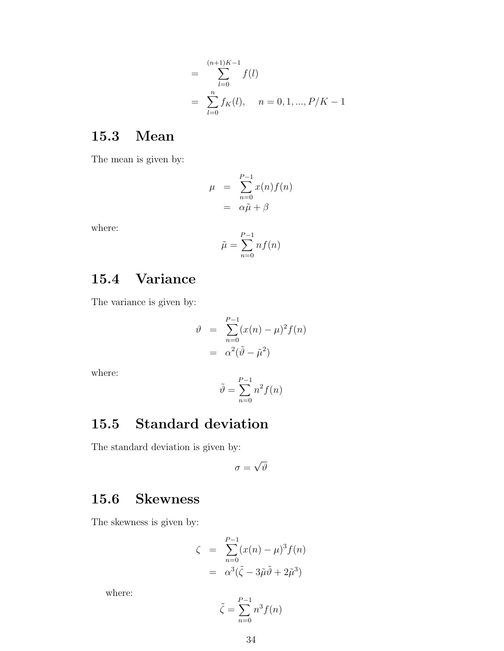$$
= \sum_{l=0}^{(n+1)K-1} f(l)
$$
  
= 
$$
\sum_{l=0}^{n} f_K(l), \quad n = 0, 1, ..., P/K-1
$$

### <span id="page-38-0"></span>15.3 Mean

The mean is given by:

$$
\mu = \sum_{n=0}^{P-1} x(n) f(n)
$$

$$
= \alpha \tilde{\mu} + \beta
$$

where:

$$
\tilde{\mu} = \sum_{n=0}^{P-1} n f(n)
$$

## <span id="page-38-1"></span>15.4 Variance

The variance is given by:

$$
\vartheta = \sum_{n=0}^{P-1} (x(n) - \mu)^2 f(n)
$$

$$
= \alpha^2 (\tilde{\vartheta} - \tilde{\mu}^2)
$$

where:

$$
\tilde{\vartheta} = \sum_{n=0}^{P-1} n^2 f(n)
$$

# <span id="page-38-2"></span>15.5 Standard deviation

The standard deviation is given by:

$$
\sigma = \sqrt{\vartheta}
$$

### <span id="page-38-3"></span>15.6 Skewness

The skewness is given by:

$$
\zeta = \sum_{n=0}^{P-1} (x(n) - \mu)^3 f(n)
$$

$$
= \alpha^3 (\tilde{\zeta} - 3\tilde{\mu}\tilde{\vartheta} + 2\tilde{\mu}^3)
$$

where:

$$
\tilde{\zeta} = \sum_{n=0}^{P-1} n^3 f(n)
$$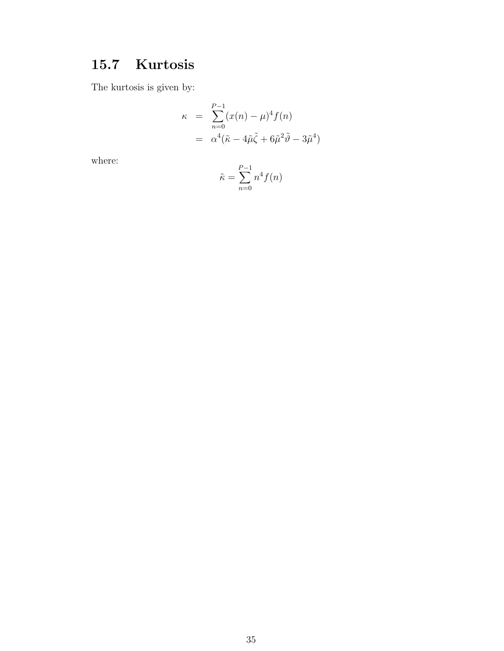## <span id="page-39-0"></span>15.7 Kurtosis

The kurtosis is given by:

$$
\kappa = \sum_{n=0}^{P-1} (x(n) - \mu)^4 f(n)
$$

$$
= \alpha^4 (\tilde{\kappa} - 4\tilde{\mu}\tilde{\zeta} + 6\tilde{\mu}^2 \tilde{\vartheta} - 3\tilde{\mu}^4)
$$

where:

$$
\tilde{\kappa} = \sum_{n=0}^{P-1} n^4 f(n)
$$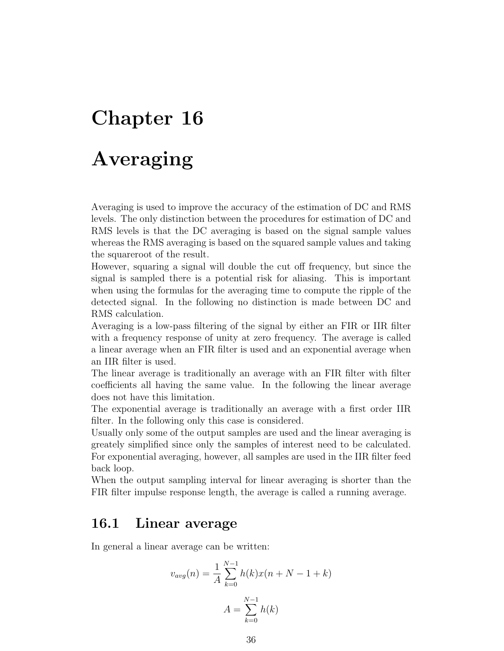# <span id="page-40-0"></span>Chapter 16

# Averaging

Averaging is used to improve the accuracy of the estimation of DC and RMS levels. The only distinction between the procedures for estimation of DC and RMS levels is that the DC averaging is based on the signal sample values whereas the RMS averaging is based on the squared sample values and taking the squareroot of the result.

However, squaring a signal will double the cut off frequency, but since the signal is sampled there is a potential risk for aliasing. This is important when using the formulas for the averaging time to compute the ripple of the detected signal. In the following no distinction is made between DC and RMS calculation.

Averaging is a low-pass filtering of the signal by either an FIR or IIR filter with a frequency response of unity at zero frequency. The average is called a linear average when an FIR filter is used and an exponential average when an IIR filter is used.

The linear average is traditionally an average with an FIR filter with filter coefficients all having the same value. In the following the linear average does not have this limitation.

The exponential average is traditionally an average with a first order IIR filter. In the following only this case is considered.

Usually only some of the output samples are used and the linear averaging is greately simplified since only the samples of interest need to be calculated. For exponential averaging, however, all samples are used in the IIR filter feed back loop.

When the output sampling interval for linear averaging is shorter than the FIR filter impulse response length, the average is called a running average.

### <span id="page-40-1"></span>16.1 Linear average

In general a linear average can be written:

$$
v_{avg}(n) = \frac{1}{A} \sum_{k=0}^{N-1} h(k)x(n+N-1+k)
$$

$$
A = \sum_{k=0}^{N-1} h(k)
$$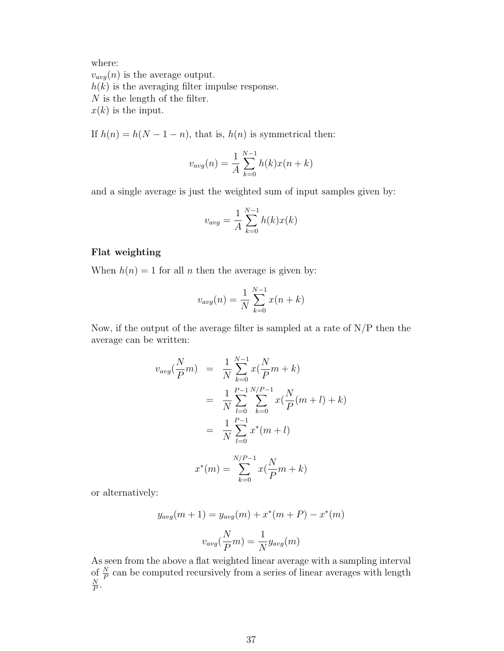where:

 $v_{avg}(n)$  is the average output.  $h(k)$  is the averaging filter impulse response. N is the length of the filter.  $x(k)$  is the input.

If  $h(n) = h(N - 1 - n)$ , that is,  $h(n)$  is symmetrical then:

$$
v_{avg}(n) = \frac{1}{A} \sum_{k=0}^{N-1} h(k)x(n+k)
$$

and a single average is just the weighted sum of input samples given by:

$$
v_{avg} = \frac{1}{A} \sum_{k=0}^{N-1} h(k)x(k)
$$

#### Flat weighting

When  $h(n) = 1$  for all *n* then the average is given by:

$$
v_{avg}(n) = \frac{1}{N} \sum_{k=0}^{N-1} x(n+k)
$$

Now, if the output of the average filter is sampled at a rate of  $N/P$  then the average can be written:

$$
v_{avg}(\frac{N}{P}m) = \frac{1}{N} \sum_{k=0}^{N-1} x(\frac{N}{P}m+k)
$$
  
= 
$$
\frac{1}{N} \sum_{l=0}^{P-1} \sum_{k=0}^{N/P-1} x(\frac{N}{P}(m+l)+k)
$$
  
= 
$$
\frac{1}{N} \sum_{l=0}^{P-1} x^*(m+l)
$$
  

$$
x^*(m) = \sum_{k=0}^{N/P-1} x(\frac{N}{P}m+k)
$$

or alternatively:

$$
y_{avg}(m+1) = y_{avg}(m) + x^*(m+P) - x^*(m)
$$

$$
v_{avg}(\frac{N}{P}m) = \frac{1}{N}y_{avg}(m)
$$

As seen from the above a flat weighted linear average with a sampling interval of  $\frac{N}{P}$  can be computed recursively from a series of linear averages with length N  $\frac{N}{P}$  .